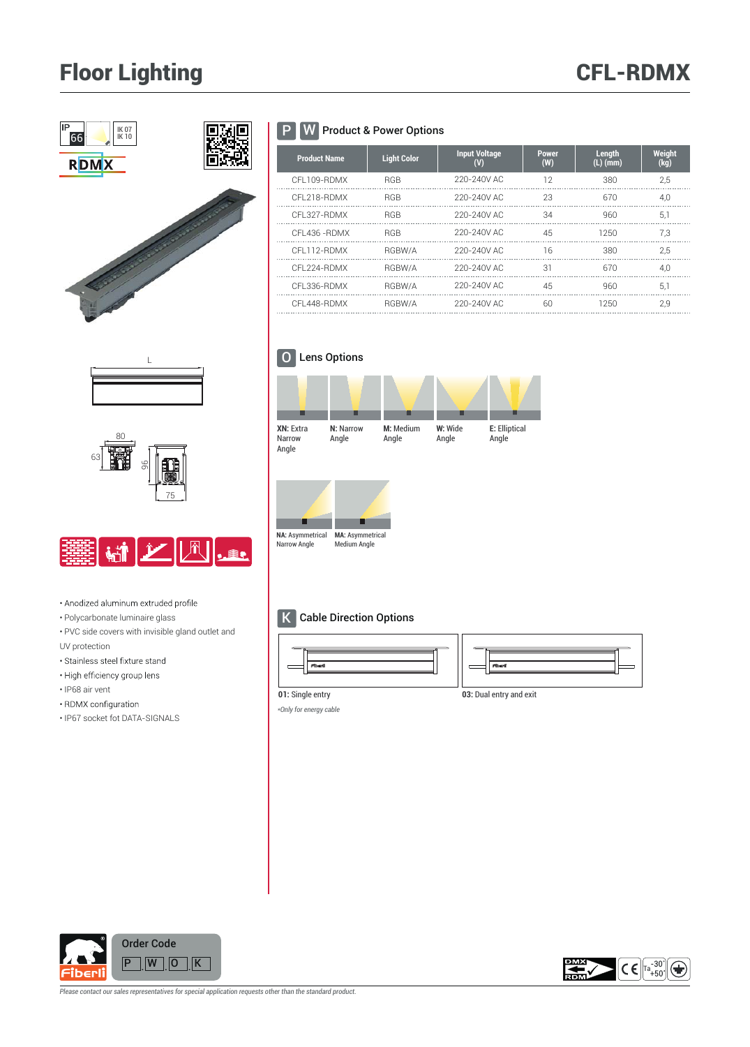# Floor Lighting **CFL-RDMX**



## P P W Product & Power Options

| <b>Product Name</b> | <b>Light Color</b> | <b>Input Voltage</b><br>$(\mathsf{V})$ | <b>Power</b><br>(W) | Length<br>$(L)$ (mm) | <b>Weight</b><br>(kg) |
|---------------------|--------------------|----------------------------------------|---------------------|----------------------|-----------------------|
| CFI 109-RDMX        | <b>RGB</b>         | 220-240V AC                            | 12                  | 380                  | 2.5                   |
| CEL218-RDMX         | <b>RGB</b>         | 220-240V AC                            | 23                  | 670                  | 4.0                   |
| CFL327-RDMX         | <b>RGB</b>         | 220-240V AC                            | 34                  | 960                  | 5.1                   |
| CEL 436 - RDMX      | <b>RGB</b>         | 220-240V AC                            | 45                  | 1250                 | 7.3                   |
| CEL112-RDMX         | RGBW/A             | 220-240V AC                            | 16                  | 380                  | 2.5                   |
| CEL224-RDMX         | RGBW/A             | 220-240V AC                            | 31                  | 670                  | 4.0                   |
| CFI 336-RDMX        | RGBW/A             | 220-240V AC                            | 45                  | 960                  | 5,1                   |
| CFI 448-RDMX        | RGBW/A             | 220-240V AC                            | 60                  | 1250                 | 2.9                   |







- · Anodized aluminum extruded profile
- Polycarbonate luminaire glass
- PVC side covers with invisible gland outlet and UV protection
- · Stainless steel fixture stand
- · High efficiency group lens
- IP68 air vent
- · RDMX configuration
- IP67 socket fot DATA-SIGNALS







## K Cable Direction Options



### **01:** Single entry **03:** Dual entry and exit

*\*Only for energy cable*





*Please contact our sales representatives for special application requests other than the standard product.*